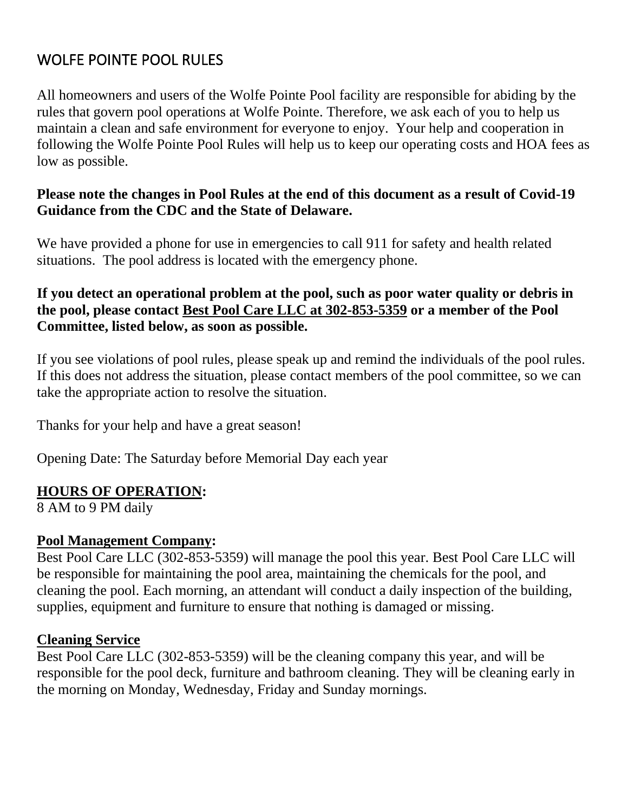# WOLFE POINTE POOL RULES

All homeowners and users of the Wolfe Pointe Pool facility are responsible for abiding by the rules that govern pool operations at Wolfe Pointe. Therefore, we ask each of you to help us maintain a clean and safe environment for everyone to enjoy. Your help and cooperation in following the Wolfe Pointe Pool Rules will help us to keep our operating costs and HOA fees as low as possible.

#### **Please note the changes in Pool Rules at the end of this document as a result of Covid-19 Guidance from the CDC and the State of Delaware.**

We have provided a phone for use in emergencies to call 911 for safety and health related situations. The pool address is located with the emergency phone.

#### **If you detect an operational problem at the pool, such as poor water quality or debris in the pool, please contact Best Pool Care LLC at 302-853-5359 or a member of the Pool Committee, listed below, as soon as possible.**

If you see violations of pool rules, please speak up and remind the individuals of the pool rules. If this does not address the situation, please contact members of the pool committee, so we can take the appropriate action to resolve the situation.

Thanks for your help and have a great season!

Opening Date: The Saturday before Memorial Day each year

#### **HOURS OF OPERATION:**

8 AM to 9 PM daily

#### **Pool Management Company:**

Best Pool Care LLC (302-853-5359) will manage the pool this year. Best Pool Care LLC will be responsible for maintaining the pool area, maintaining the chemicals for the pool, and cleaning the pool. Each morning, an attendant will conduct a daily inspection of the building, supplies, equipment and furniture to ensure that nothing is damaged or missing.

#### **Cleaning Service**

Best Pool Care LLC (302-853-5359) will be the cleaning company this year, and will be responsible for the pool deck, furniture and bathroom cleaning. They will be cleaning early in the morning on Monday, Wednesday, Friday and Sunday mornings.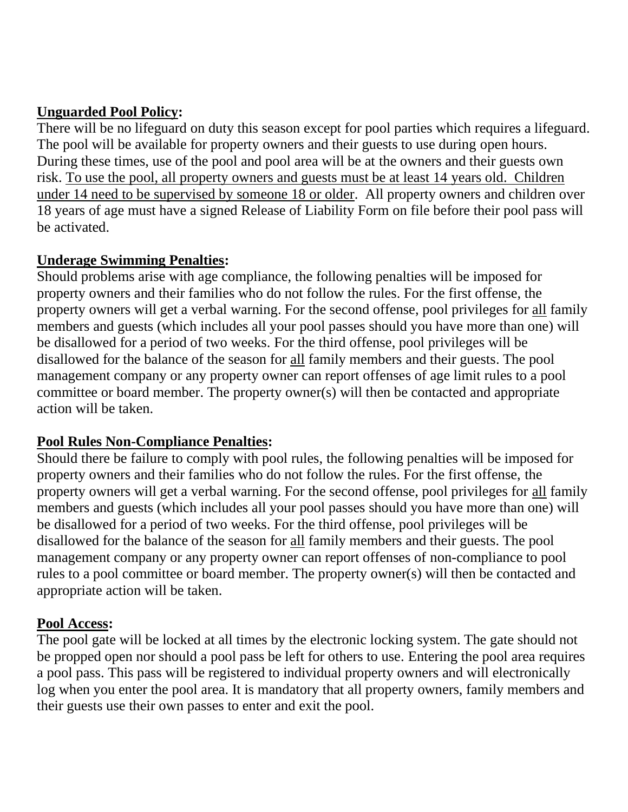# **Unguarded Pool Policy:**

There will be no lifeguard on duty this season except for pool parties which requires a lifeguard. The pool will be available for property owners and their guests to use during open hours. During these times, use of the pool and pool area will be at the owners and their guests own risk. To use the pool, all property owners and guests must be at least 14 years old. Children under 14 need to be supervised by someone 18 or older. All property owners and children over 18 years of age must have a signed Release of Liability Form on file before their pool pass will be activated.

## **Underage Swimming Penalties:**

Should problems arise with age compliance, the following penalties will be imposed for property owners and their families who do not follow the rules. For the first offense, the property owners will get a verbal warning. For the second offense, pool privileges for all family members and guests (which includes all your pool passes should you have more than one) will be disallowed for a period of two weeks. For the third offense, pool privileges will be disallowed for the balance of the season for all family members and their guests. The pool management company or any property owner can report offenses of age limit rules to a pool committee or board member. The property owner(s) will then be contacted and appropriate action will be taken.

# **Pool Rules Non-Compliance Penalties:**

Should there be failure to comply with pool rules, the following penalties will be imposed for property owners and their families who do not follow the rules. For the first offense, the property owners will get a verbal warning. For the second offense, pool privileges for all family members and guests (which includes all your pool passes should you have more than one) will be disallowed for a period of two weeks. For the third offense, pool privileges will be disallowed for the balance of the season for all family members and their guests. The pool management company or any property owner can report offenses of non-compliance to pool rules to a pool committee or board member. The property owner(s) will then be contacted and appropriate action will be taken.

# **Pool Access:**

The pool gate will be locked at all times by the electronic locking system. The gate should not be propped open nor should a pool pass be left for others to use. Entering the pool area requires a pool pass. This pass will be registered to individual property owners and will electronically log when you enter the pool area. It is mandatory that all property owners, family members and their guests use their own passes to enter and exit the pool.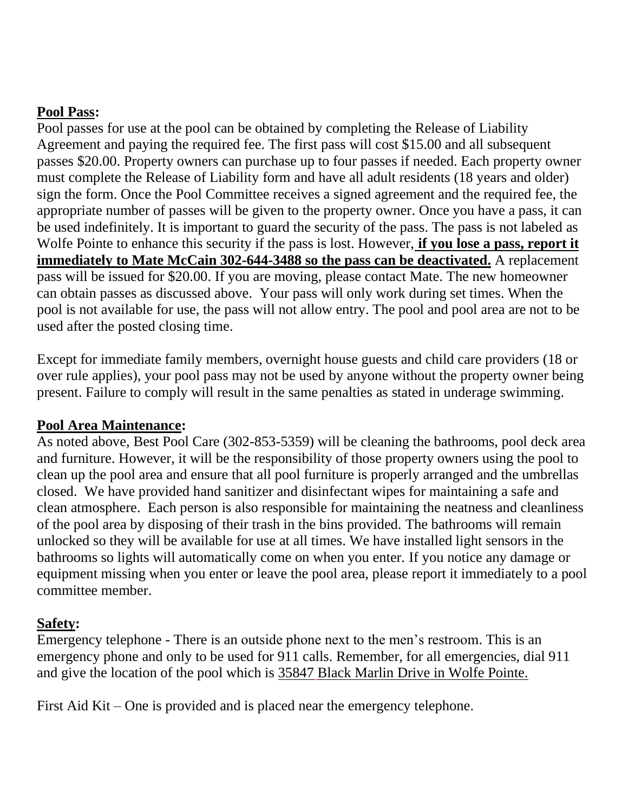## **Pool Pass:**

Pool passes for use at the pool can be obtained by completing the Release of Liability Agreement and paying the required fee. The first pass will cost \$15.00 and all subsequent passes \$20.00. Property owners can purchase up to four passes if needed. Each property owner must complete the Release of Liability form and have all adult residents (18 years and older) sign the form. Once the Pool Committee receives a signed agreement and the required fee, the appropriate number of passes will be given to the property owner. Once you have a pass, it can be used indefinitely. It is important to guard the security of the pass. The pass is not labeled as Wolfe Pointe to enhance this security if the pass is lost. However, **if you lose a pass, report it immediately to Mate McCain 302-644-3488 so the pass can be deactivated.** A replacement pass will be issued for \$20.00. If you are moving, please contact Mate. The new homeowner can obtain passes as discussed above. Your pass will only work during set times. When the pool is not available for use, the pass will not allow entry. The pool and pool area are not to be used after the posted closing time.

Except for immediate family members, overnight house guests and child care providers (18 or over rule applies), your pool pass may not be used by anyone without the property owner being present. Failure to comply will result in the same penalties as stated in underage swimming.

## **Pool Area Maintenance:**

As noted above, Best Pool Care (302-853-5359) will be cleaning the bathrooms, pool deck area and furniture. However, it will be the responsibility of those property owners using the pool to clean up the pool area and ensure that all pool furniture is properly arranged and the umbrellas closed. We have provided hand sanitizer and disinfectant wipes for maintaining a safe and clean atmosphere. Each person is also responsible for maintaining the neatness and cleanliness of the pool area by disposing of their trash in the bins provided. The bathrooms will remain unlocked so they will be available for use at all times. We have installed light sensors in the bathrooms so lights will automatically come on when you enter. If you notice any damage or equipment missing when you enter or leave the pool area, please report it immediately to a pool committee member.

## **Safety:**

Emergency telephone - There is an outside phone next to the men's restroom. This is an emergency phone and only to be used for 911 calls. Remember, for all emergencies, dial 911 and give the location of the pool which is 35847 Black Marlin Drive in Wolfe Pointe.

First Aid Kit – One is provided and is placed near the emergency telephone.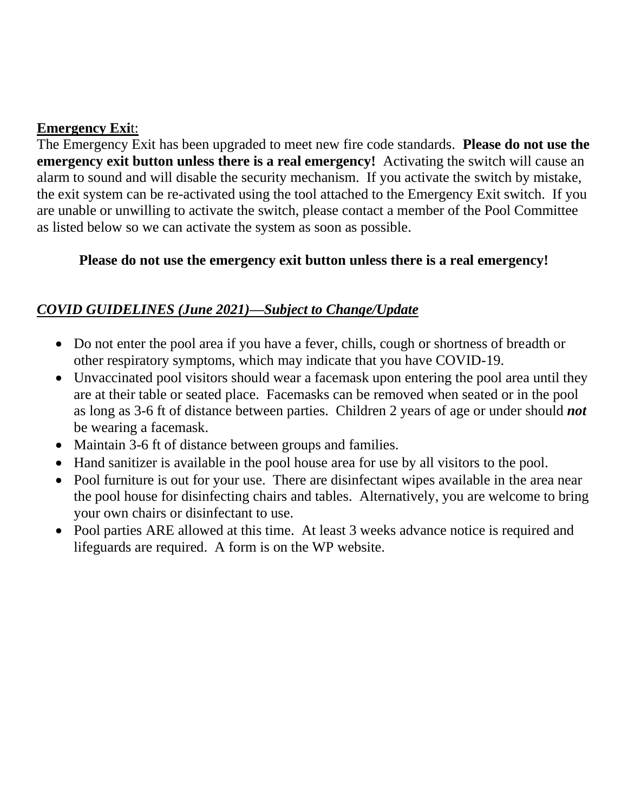## **Emergency Exi**t:

The Emergency Exit has been upgraded to meet new fire code standards. **Please do not use the emergency exit button unless there is a real emergency!** Activating the switch will cause an alarm to sound and will disable the security mechanism. If you activate the switch by mistake, the exit system can be re-activated using the tool attached to the Emergency Exit switch. If you are unable or unwilling to activate the switch, please contact a member of the Pool Committee as listed below so we can activate the system as soon as possible.

## **Please do not use the emergency exit button unless there is a real emergency!**

# *COVID GUIDELINES (June 2021)—Subject to Change/Update*

- Do not enter the pool area if you have a fever, chills, cough or shortness of breadth or other respiratory symptoms, which may indicate that you have COVID-19.
- Unvaccinated pool visitors should wear a facemask upon entering the pool area until they are at their table or seated place. Facemasks can be removed when seated or in the pool as long as 3-6 ft of distance between parties. Children 2 years of age or under should *not* be wearing a facemask.
- Maintain 3-6 ft of distance between groups and families.
- Hand sanitizer is available in the pool house area for use by all visitors to the pool.
- Pool furniture is out for your use. There are disinfectant wipes available in the area near the pool house for disinfecting chairs and tables. Alternatively, you are welcome to bring your own chairs or disinfectant to use.
- Pool parties ARE allowed at this time. At least 3 weeks advance notice is required and lifeguards are required. A form is on the WP website.